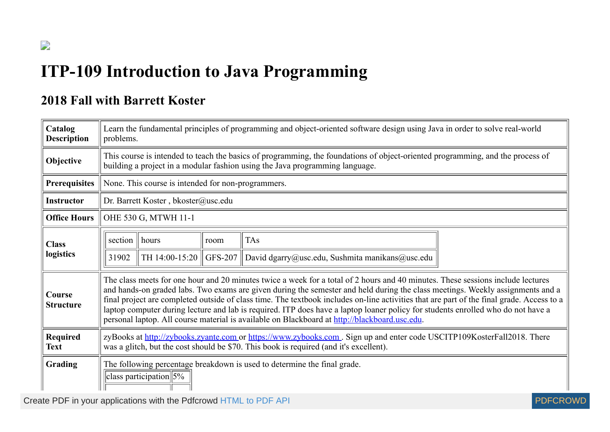## **ITP-109 Introduction to Java Programming**

## **2018 Fall with Barrett Koster**

 $\overline{\phantom{a}}$ 

| Catalog<br><b>Description</b> | problems. |                                                                                                                 |         | Learn the fundamental principles of programming and object-oriented software design using Java in order to solve real-world                                                                                                                                                                                                                                                                                                                                                                                                                                                                                                                         |  |
|-------------------------------|-----------|-----------------------------------------------------------------------------------------------------------------|---------|-----------------------------------------------------------------------------------------------------------------------------------------------------------------------------------------------------------------------------------------------------------------------------------------------------------------------------------------------------------------------------------------------------------------------------------------------------------------------------------------------------------------------------------------------------------------------------------------------------------------------------------------------------|--|
| Objective                     |           |                                                                                                                 |         | This course is intended to teach the basics of programming, the foundations of object-oriented programming, and the process of<br>building a project in a modular fashion using the Java programming language.                                                                                                                                                                                                                                                                                                                                                                                                                                      |  |
| <b>Prerequisites</b>          |           | None. This course is intended for non-programmers.                                                              |         |                                                                                                                                                                                                                                                                                                                                                                                                                                                                                                                                                                                                                                                     |  |
| <b>Instructor</b>             |           | Dr. Barrett Koster, bkoster@usc.edu                                                                             |         |                                                                                                                                                                                                                                                                                                                                                                                                                                                                                                                                                                                                                                                     |  |
| <b>Office Hours</b>           |           | OHE 530 G, MTWH 11-1                                                                                            |         |                                                                                                                                                                                                                                                                                                                                                                                                                                                                                                                                                                                                                                                     |  |
| <b>Class</b>                  | section   | hours                                                                                                           | room    | <b>TAs</b>                                                                                                                                                                                                                                                                                                                                                                                                                                                                                                                                                                                                                                          |  |
| logistics                     | 31902     | TH 14:00-15:20                                                                                                  | GFS-207 | David dgarry@usc.edu, Sushmita manikans@usc.edu                                                                                                                                                                                                                                                                                                                                                                                                                                                                                                                                                                                                     |  |
| Course<br><b>Structure</b>    |           |                                                                                                                 |         | The class meets for one hour and 20 minutes twice a week for a total of 2 hours and 40 minutes. These sessions include lectures<br>and hands-on graded labs. Two exams are given during the semester and held during the class meetings. Weekly assignments and a<br>final project are completed outside of class time. The textbook includes on-line activities that are part of the final grade. Access to a<br>laptop computer during lecture and lab is required. ITP does have a laptop loaner policy for students enrolled who do not have a<br>personal laptop. All course material is available on Blackboard at http://blackboard.usc.edu. |  |
| Required<br><b>Text</b>       |           |                                                                                                                 |         | zyBooks at http://zybooks.zyante.com or https://www.zybooks.com. Sign up and enter code USCITP109KosterFall2018. There<br>was a glitch, but the cost should be \$70. This book is required (and it's excellent).                                                                                                                                                                                                                                                                                                                                                                                                                                    |  |
| Grading                       |           | The following percentage breakdown is used to determine the final grade.<br>class participation $\frac{5\%}{6}$ |         |                                                                                                                                                                                                                                                                                                                                                                                                                                                                                                                                                                                                                                                     |  |

Create PDF in your applications with the Pdfcrowd [HTML to PDF API](https://pdfcrowd.com/doc/api/?ref=pdf) [PDFCROWD](https://pdfcrowd.com/?ref=pdf) Create PDF in your applications with the Pdfcrowd HTML to PDF API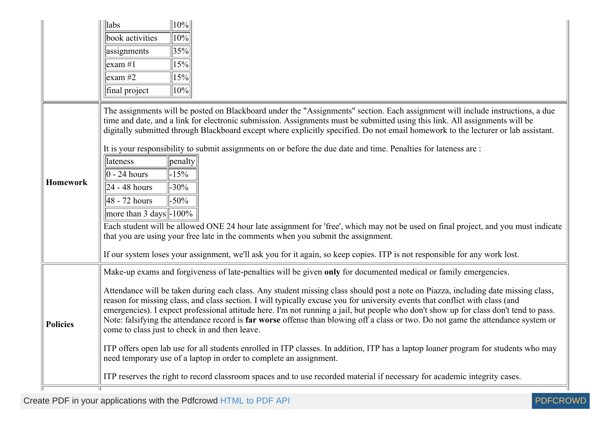|                 | 10%<br>$\ $ labs                                                                                                                                                                                                                                                                                                                                                                                                                                                                                                                                                                                  |
|-----------------|---------------------------------------------------------------------------------------------------------------------------------------------------------------------------------------------------------------------------------------------------------------------------------------------------------------------------------------------------------------------------------------------------------------------------------------------------------------------------------------------------------------------------------------------------------------------------------------------------|
|                 | 10%<br>book activities                                                                                                                                                                                                                                                                                                                                                                                                                                                                                                                                                                            |
|                 | 35%<br>assignments                                                                                                                                                                                                                                                                                                                                                                                                                                                                                                                                                                                |
|                 | 15%<br>$\text{lexam} \#1$                                                                                                                                                                                                                                                                                                                                                                                                                                                                                                                                                                         |
|                 | 15%<br>$\left  \text{exam } \# 2 \right $                                                                                                                                                                                                                                                                                                                                                                                                                                                                                                                                                         |
|                 | 10%<br>final project                                                                                                                                                                                                                                                                                                                                                                                                                                                                                                                                                                              |
|                 | The assignments will be posted on Blackboard under the "Assignments" section. Each assignment will include instructions, a due<br>time and date, and a link for electronic submission. Assignments must be submitted using this link. All assignments will be<br>digitally submitted through Blackboard except where explicitly specified. Do not email homework to the lecturer or lab assistant.                                                                                                                                                                                                |
|                 | It is your responsibility to submit assignments on or before the due date and time. Penalties for lateness are:                                                                                                                                                                                                                                                                                                                                                                                                                                                                                   |
|                 | lateness<br>penalty                                                                                                                                                                                                                                                                                                                                                                                                                                                                                                                                                                               |
| <b>Homework</b> | $ 0 - 24$ hours<br>$-15%$                                                                                                                                                                                                                                                                                                                                                                                                                                                                                                                                                                         |
|                 | $24 - 48$ hours<br>$-30\%$                                                                                                                                                                                                                                                                                                                                                                                                                                                                                                                                                                        |
|                 | $-50\%$<br>48 - 72 hours                                                                                                                                                                                                                                                                                                                                                                                                                                                                                                                                                                          |
|                 | more than 3 days $\parallel$ -100%                                                                                                                                                                                                                                                                                                                                                                                                                                                                                                                                                                |
|                 | Each student will be allowed ONE 24 hour late assignment for 'free', which may not be used on final project, and you must indicate<br>that you are using your free late in the comments when you submit the assignment.                                                                                                                                                                                                                                                                                                                                                                           |
|                 | If our system loses your assignment, we'll ask you for it again, so keep copies. ITP is not responsible for any work lost.                                                                                                                                                                                                                                                                                                                                                                                                                                                                        |
|                 | Make-up exams and forgiveness of late-penalties will be given only for documented medical or family emergencies.                                                                                                                                                                                                                                                                                                                                                                                                                                                                                  |
| <b>Policies</b> | Attendance will be taken during each class. Any student missing class should post a note on Piazza, including date missing class,<br>reason for missing class, and class section. I will typically excuse you for university events that conflict with class (and<br>emergencies). I expect professional attitude here. I'm not running a jail, but people who don't show up for class don't tend to pass.<br>Note: falsifying the attendance record is far worse offense than blowing off a class or two. Do not game the attendance system or<br>come to class just to check in and then leave. |
|                 | ITP offers open lab use for all students enrolled in ITP classes. In addition, ITP has a laptop loaner program for students who may<br>need temporary use of a laptop in order to complete an assignment.                                                                                                                                                                                                                                                                                                                                                                                         |
|                 | ITP reserves the right to record classroom spaces and to use recorded material if necessary for academic integrity cases.                                                                                                                                                                                                                                                                                                                                                                                                                                                                         |

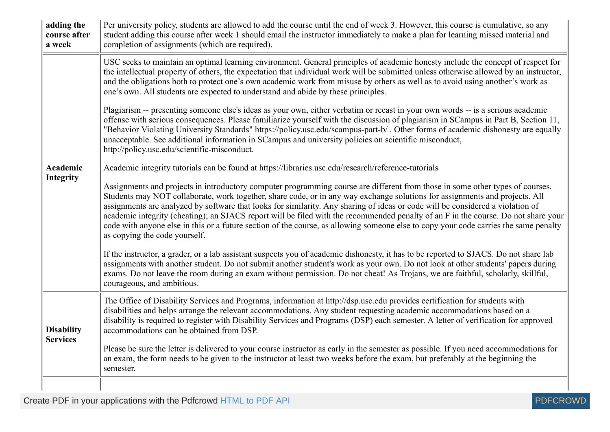| adding the<br>course after<br>a week | Per university policy, students are allowed to add the course until the end of week 3. However, this course is cumulative, so any<br>student adding this course after week 1 should email the instructor immediately to make a plan for learning missed material and<br>completion of assignments (which are required).                                                                                                                                                                                                                                                                                                                                                                                       |
|--------------------------------------|---------------------------------------------------------------------------------------------------------------------------------------------------------------------------------------------------------------------------------------------------------------------------------------------------------------------------------------------------------------------------------------------------------------------------------------------------------------------------------------------------------------------------------------------------------------------------------------------------------------------------------------------------------------------------------------------------------------|
|                                      | USC seeks to maintain an optimal learning environment. General principles of academic honesty include the concept of respect for<br>the intellectual property of others, the expectation that individual work will be submitted unless otherwise allowed by an instructor,<br>and the obligations both to protect one's own academic work from misuse by others as well as to avoid using another's work as<br>one's own. All students are expected to understand and abide by these principles.                                                                                                                                                                                                              |
|                                      | Plagiarism -- presenting someone else's ideas as your own, either verbatim or recast in your own words -- is a serious academic<br>offense with serious consequences. Please familiarize yourself with the discussion of plagiarism in SCampus in Part B, Section 11,<br>"Behavior Violating University Standards" https://policy.usc.edu/scampus-part-b/. Other forms of academic dishonesty are equally<br>unacceptable. See additional information in SCampus and university policies on scientific misconduct,<br>http://policy.usc.edu/scientific-misconduct.                                                                                                                                            |
| <b>Academic</b>                      | Academic integrity tutorials can be found at https://libraries.usc.edu/research/reference-tutorials                                                                                                                                                                                                                                                                                                                                                                                                                                                                                                                                                                                                           |
| <b>Integrity</b>                     | Assignments and projects in introductory computer programming course are different from those in some other types of courses.<br>Students may NOT collaborate, work together, share code, or in any way exchange solutions for assignments and projects. All<br>assignments are analyzed by software that looks for similarity. Any sharing of ideas or code will be considered a violation of<br>academic integrity (cheating); an SJACS report will be filed with the recommended penalty of an F in the course. Do not share your<br>code with anyone else in this or a future section of the course, as allowing someone else to copy your code carries the same penalty<br>as copying the code yourself. |
|                                      | If the instructor, a grader, or a lab assistant suspects you of academic dishonesty, it has to be reported to SJACS. Do not share lab<br>assignments with another student. Do not submit another student's work as your own. Do not look at other students' papers during<br>exams. Do not leave the room during an exam without permission. Do not cheat! As Trojans, we are faithful, scholarly, skillful,<br>courageous, and ambitious.                                                                                                                                                                                                                                                                    |
| <b>Disability</b>                    | The Office of Disability Services and Programs, information at http://dsp.usc.edu provides certification for students with<br>disabilities and helps arrange the relevant accommodations. Any student requesting academic accommodations based on a<br>disability is required to register with Disability Services and Programs (DSP) each semester. A letter of verification for approved<br>accommodations can be obtained from DSP.                                                                                                                                                                                                                                                                        |
| <b>Services</b>                      | Please be sure the letter is delivered to your course instructor as early in the semester as possible. If you need accommodations for<br>an exam, the form needs to be given to the instructor at least two weeks before the exam, but preferably at the beginning the<br>semester.                                                                                                                                                                                                                                                                                                                                                                                                                           |
|                                      |                                                                                                                                                                                                                                                                                                                                                                                                                                                                                                                                                                                                                                                                                                               |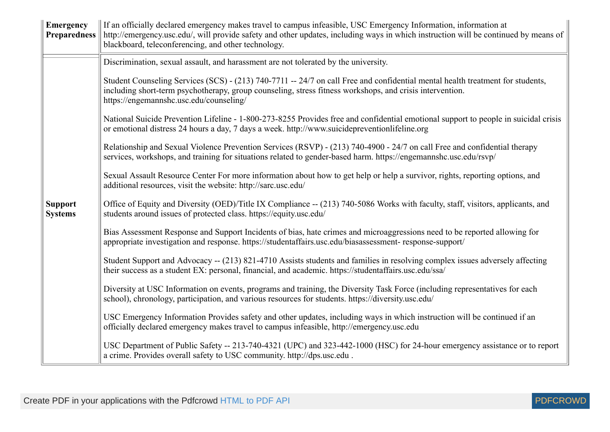| <b>Emergency</b><br><b>Preparedness</b> | If an officially declared emergency makes travel to campus infeasible, USC Emergency Information, information at<br>http://emergency.usc.edu/, will provide safety and other updates, including ways in which instruction will be continued by means of<br>blackboard, teleconferencing, and other technology. |
|-----------------------------------------|----------------------------------------------------------------------------------------------------------------------------------------------------------------------------------------------------------------------------------------------------------------------------------------------------------------|
|                                         | Discrimination, sexual assault, and harassment are not tolerated by the university.                                                                                                                                                                                                                            |
|                                         | Student Counseling Services (SCS) - (213) 740-7711 -- 24/7 on call Free and confidential mental health treatment for students,<br>including short-term psychotherapy, group counseling, stress fitness workshops, and crisis intervention.<br>https://engemannshc.usc.edu/counseling/                          |
|                                         | National Suicide Prevention Lifeline - 1-800-273-8255 Provides free and confidential emotional support to people in suicidal crisis<br>or emotional distress 24 hours a day, 7 days a week. http://www.suicidepreventionlifeline.org                                                                           |
|                                         | Relationship and Sexual Violence Prevention Services (RSVP) - (213) 740-4900 - 24/7 on call Free and confidential therapy<br>services, workshops, and training for situations related to gender-based harm. https://engemannshc.usc.edu/rsvp/                                                                  |
|                                         | Sexual Assault Resource Center For more information about how to get help or help a survivor, rights, reporting options, and<br>additional resources, visit the website: http://sarc.usc.edu/                                                                                                                  |
| <b>Support</b><br><b>Systems</b>        | Office of Equity and Diversity (OED)/Title IX Compliance -- (213) 740-5086 Works with faculty, staff, visitors, applicants, and<br>students around issues of protected class. https://equity.usc.edu/                                                                                                          |
|                                         | Bias Assessment Response and Support Incidents of bias, hate crimes and microaggressions need to be reported allowing for<br>appropriate investigation and response. https://studentaffairs.usc.edu/biasassessment-response-support/                                                                           |
|                                         | Student Support and Advocacy -- (213) 821-4710 Assists students and families in resolving complex issues adversely affecting<br>their success as a student EX: personal, financial, and academic. https://studentaffairs.usc.edu/ssa/                                                                          |
|                                         | Diversity at USC Information on events, programs and training, the Diversity Task Force (including representatives for each<br>school), chronology, participation, and various resources for students. https://diversity.usc.edu/                                                                              |
|                                         | USC Emergency Information Provides safety and other updates, including ways in which instruction will be continued if an<br>officially declared emergency makes travel to campus infeasible, http://emergency.usc.edu                                                                                          |
|                                         | USC Department of Public Safety -- 213-740-4321 (UPC) and 323-442-1000 (HSC) for 24-hour emergency assistance or to report<br>a crime. Provides overall safety to USC community. http://dps.usc.edu.                                                                                                           |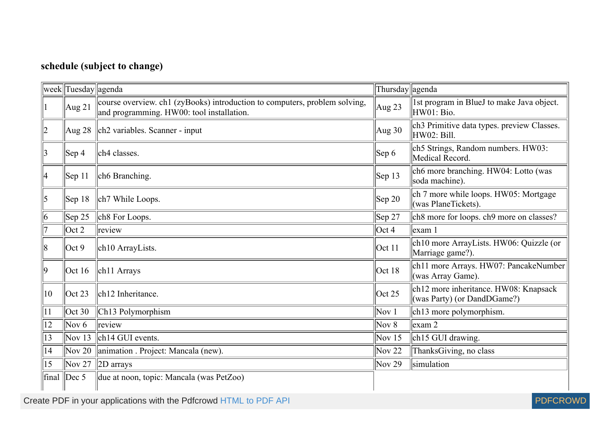## **schedule (subject to change)**

|                 | week  Tuesday  agenda |                                                                                                                         | Thursday agenda  |                                                                      |
|-----------------|-----------------------|-------------------------------------------------------------------------------------------------------------------------|------------------|----------------------------------------------------------------------|
|                 | $\text{Aug } 21$      | course overview. ch1 (zyBooks) introduction to computers, problem solving,<br>and programming. HW00: tool installation. | Aug 23           | 1st program in BlueJ to make Java object.<br>HW01: Bio.              |
| 2               |                       | $\text{Aug } 28$ $\text{Ch2}$ variables. Scanner - input                                                                | Aug $30$         | ch3 Primitive data types. preview Classes.<br>HW02: Bill.            |
| $\vert 3 \vert$ | $ $ Sep 4             | ch4 classes.                                                                                                            | $ $ Sep 6        | ch5 Strings, Random numbers. HW03:<br>Medical Record.                |
| 14              | $ $ Sep 11            | ch6 Branching.                                                                                                          | $\text{Sep } 13$ | ch6 more branching. HW04: Lotto (was<br>soda machine).               |
| $\vert$ 5       | $ $ Sep 18            | ch7 While Loops.                                                                                                        | $\vert$ Sep 20   | ch 7 more while loops. HW05: Mortgage<br>(was PlaneTickets).         |
| $\vert 6 \vert$ | $\vert$ Sep 25        | ch8 For Loops.                                                                                                          | $\vert$ Sep 27   | ch8 more for loops. ch9 more on classes?                             |
|                 | $\cot 2$              | review                                                                                                                  | $\cot 4$         | $\left  \text{exam } 1 \right $                                      |
| 8               | Oct 9                 | ch10 ArrayLists.                                                                                                        | Oct 11           | ch10 more ArrayLists. HW06: Quizzle (or<br>Marriage game?).          |
| $ 9\rangle$     | Oct 16                | $\ $ ch11 Arrays                                                                                                        | Oct 18           | ch11 more Arrays. HW07: PancakeNumber<br>(was Array Game).           |
| $ 10\rangle$    | $\cot 23$             | ch12 Inheritance.                                                                                                       | $\vert$ Oct 25   | ch12 more inheritance. HW08: Knapsack<br>(was Party) (or DandDGame?) |
| 11              | $\vert$ Oct 30        | Ch <sub>13</sub> Polymorphism                                                                                           | Nov $1$          | ch13 more polymorphism.                                              |
| 12              | Nov $6$               | review                                                                                                                  | Nov $8$          | $\alpha$ exam 2                                                      |
| 13              | Nov $13$              | $\left\Vert \text{ch} \right\Vert$ GUI events.                                                                          | Nov $15$         | ch15 GUI drawing.                                                    |
| 14              |                       | Nov 20   animation . Project: Mancala (new).                                                                            | Nov $22$         | ThanksGiving, no class                                               |
| 15              |                       | Nov 27 2D arrays                                                                                                        | Nov 29           | simulation                                                           |
| final           | $\vert$ Dec 5         | due at noon, topic: Mancala (was PetZoo)                                                                                |                  |                                                                      |